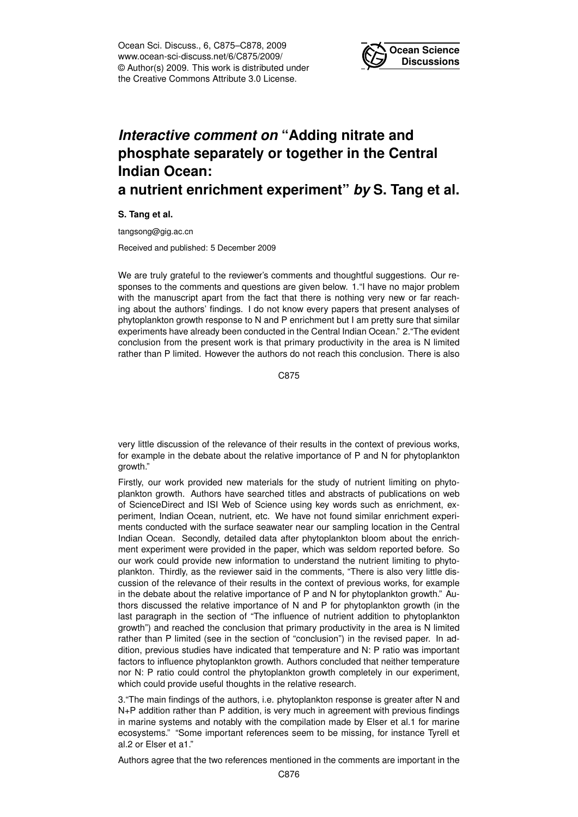Ocean Sci. Discuss., 6, C875–C878, 2009 www.ocean-sci-discuss.net/6/C875/2009/ © Author(s) 2009. This work is distributed under the Creative Commons Attribute 3.0 License.



## *Interactive comment on* **"Adding nitrate and phosphate separately or together in the Central Indian Ocean:**

## **a nutrient enrichment experiment"** *by* **S. Tang et al.**

**S. Tang et al.**

tangsong@gig.ac.cn

Received and published: 5 December 2009

We are truly grateful to the reviewer's comments and thoughtful suggestions. Our responses to the comments and questions are given below. 1."I have no major problem with the manuscript apart from the fact that there is nothing very new or far reaching about the authors' findings. I do not know every papers that present analyses of phytoplankton growth response to N and P enrichment but I am pretty sure that similar experiments have already been conducted in the Central Indian Ocean." 2."The evident conclusion from the present work is that primary productivity in the area is N limited rather than P limited. However the authors do not reach this conclusion. There is also

C875

very little discussion of the relevance of their results in the context of previous works, for example in the debate about the relative importance of P and N for phytoplankton growth."

Firstly, our work provided new materials for the study of nutrient limiting on phytoplankton growth. Authors have searched titles and abstracts of publications on web of ScienceDirect and ISI Web of Science using key words such as enrichment, experiment, Indian Ocean, nutrient, etc. We have not found similar enrichment experiments conducted with the surface seawater near our sampling location in the Central Indian Ocean. Secondly, detailed data after phytoplankton bloom about the enrichment experiment were provided in the paper, which was seldom reported before. So our work could provide new information to understand the nutrient limiting to phytoplankton. Thirdly, as the reviewer said in the comments, "There is also very little discussion of the relevance of their results in the context of previous works, for example in the debate about the relative importance of P and N for phytoplankton growth." Authors discussed the relative importance of N and P for phytoplankton growth (in the last paragraph in the section of "The influence of nutrient addition to phytoplankton growth") and reached the conclusion that primary productivity in the area is N limited rather than P limited (see in the section of "conclusion") in the revised paper. In addition, previous studies have indicated that temperature and N: P ratio was important factors to influence phytoplankton growth. Authors concluded that neither temperature nor N: P ratio could control the phytoplankton growth completely in our experiment, which could provide useful thoughts in the relative research.

3."The main findings of the authors, i.e. phytoplankton response is greater after N and N+P addition rather than P addition, is very much in agreement with previous findings in marine systems and notably with the compilation made by Elser et al.1 for marine ecosystems." "Some important references seem to be missing, for instance Tyrell et al.2 or Elser et a1."

Authors agree that the two references mentioned in the comments are important in the